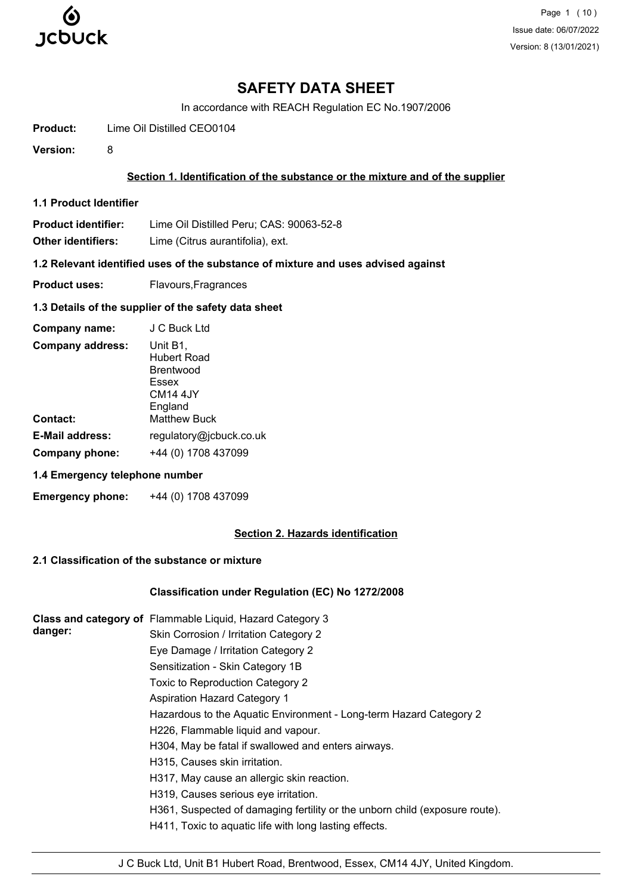

Page 1 (10) Issue date: 06/07/2022 Version: 8 (13/01/2021)

# **SAFETY DATA SHEET**

In accordance with REACH Regulation EC No.1907/2006

**Product:** Lime Oil Distilled CEO0104

**Version:** 8

# **Section 1. Identification of the substance or the mixture and of the supplier**

**1.1 Product Identifier**

**Product identifier:** Lime Oil Distilled Peru; CAS: 90063-52-8

**Other identifiers:** Lime (Citrus aurantifolia), ext.

**1.2 Relevant identified uses of the substance of mixture and uses advised against**

**Product uses:** Flavours, Fragrances

#### **1.3 Details of the supplier of the safety data sheet**

| Company name:           | J C Buck Ltd                                                                            |
|-------------------------|-----------------------------------------------------------------------------------------|
| <b>Company address:</b> | Unit B1,<br>Hubert Road<br><b>Brentwood</b><br>Essex<br>CM <sub>14</sub> 4JY<br>England |
| <b>Contact:</b>         | <b>Matthew Buck</b>                                                                     |
| <b>E-Mail address:</b>  | regulatory@jcbuck.co.uk                                                                 |
| Company phone:          | +44 (0) 1708 437099                                                                     |

# **1.4 Emergency telephone number**

**Emergency phone:** +44 (0) 1708 437099

## **Section 2. Hazards identification**

# **2.1 Classification of the substance or mixture**

## **Classification under Regulation (EC) No 1272/2008**

|         | Class and category of Flammable Liquid, Hazard Category 3                   |
|---------|-----------------------------------------------------------------------------|
| danger: | Skin Corrosion / Irritation Category 2                                      |
|         | Eye Damage / Irritation Category 2                                          |
|         | Sensitization - Skin Category 1B                                            |
|         | Toxic to Reproduction Category 2                                            |
|         | <b>Aspiration Hazard Category 1</b>                                         |
|         | Hazardous to the Aquatic Environment - Long-term Hazard Category 2          |
|         | H226, Flammable liquid and vapour.                                          |
|         | H304, May be fatal if swallowed and enters airways.                         |
|         | H315, Causes skin irritation.                                               |
|         | H317, May cause an allergic skin reaction.                                  |
|         | H319, Causes serious eye irritation.                                        |
|         | H361, Suspected of damaging fertility or the unborn child (exposure route). |
|         | H411, Toxic to aquatic life with long lasting effects.                      |
|         |                                                                             |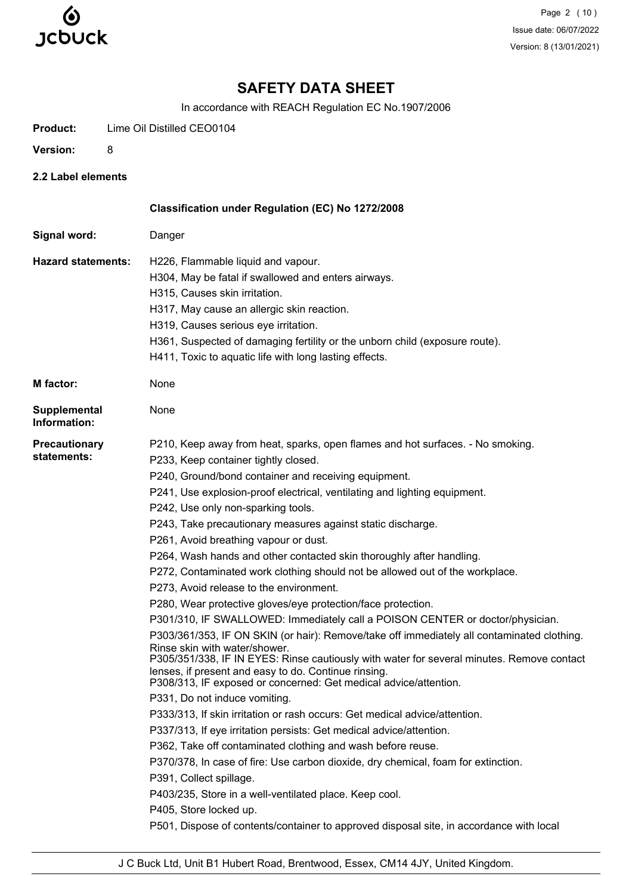

Page 2 (10) Issue date: 06/07/2022 Version: 8 (13/01/2021)

# **SAFETY DATA SHEET**

In accordance with REACH Regulation EC No.1907/2006

**Product:** Lime Oil Distilled CEO0104

- **Version:** 8
- **2.2 Label elements**

|                                     | Classification under Regulation (EC) No 1272/2008                                                                                                                                                                        |
|-------------------------------------|--------------------------------------------------------------------------------------------------------------------------------------------------------------------------------------------------------------------------|
| Signal word:                        | Danger                                                                                                                                                                                                                   |
| <b>Hazard statements:</b>           | H226, Flammable liquid and vapour.                                                                                                                                                                                       |
|                                     | H304, May be fatal if swallowed and enters airways.                                                                                                                                                                      |
|                                     | H315, Causes skin irritation.                                                                                                                                                                                            |
|                                     | H317, May cause an allergic skin reaction.                                                                                                                                                                               |
|                                     | H319, Causes serious eye irritation.                                                                                                                                                                                     |
|                                     | H361, Suspected of damaging fertility or the unborn child (exposure route).                                                                                                                                              |
|                                     | H411, Toxic to aquatic life with long lasting effects.                                                                                                                                                                   |
| <b>M</b> factor:                    | None                                                                                                                                                                                                                     |
| <b>Supplemental</b><br>Information: | None                                                                                                                                                                                                                     |
| <b>Precautionary</b>                | P210, Keep away from heat, sparks, open flames and hot surfaces. - No smoking.                                                                                                                                           |
| statements:                         | P233, Keep container tightly closed.                                                                                                                                                                                     |
|                                     | P240, Ground/bond container and receiving equipment.                                                                                                                                                                     |
|                                     | P241, Use explosion-proof electrical, ventilating and lighting equipment.                                                                                                                                                |
|                                     | P242, Use only non-sparking tools.                                                                                                                                                                                       |
|                                     | P243, Take precautionary measures against static discharge.                                                                                                                                                              |
|                                     | P261, Avoid breathing vapour or dust.                                                                                                                                                                                    |
|                                     | P264, Wash hands and other contacted skin thoroughly after handling.                                                                                                                                                     |
|                                     | P272, Contaminated work clothing should not be allowed out of the workplace.                                                                                                                                             |
|                                     | P273, Avoid release to the environment.                                                                                                                                                                                  |
|                                     | P280, Wear protective gloves/eye protection/face protection.                                                                                                                                                             |
|                                     | P301/310, IF SWALLOWED: Immediately call a POISON CENTER or doctor/physician.                                                                                                                                            |
|                                     | P303/361/353, IF ON SKIN (or hair): Remove/take off immediately all contaminated clothing.<br>Rinse skin with water/shower.<br>P305/351/338, IF IN EYES: Rinse cautiously with water for several minutes. Remove contact |
|                                     | lenses, if present and easy to do. Continue rinsing.<br>P308/313, IF exposed or concerned: Get medical advice/attention.                                                                                                 |
|                                     | P331, Do not induce vomiting.                                                                                                                                                                                            |
|                                     | P333/313, If skin irritation or rash occurs: Get medical advice/attention.                                                                                                                                               |
|                                     | P337/313, If eye irritation persists: Get medical advice/attention.                                                                                                                                                      |
|                                     | P362, Take off contaminated clothing and wash before reuse.                                                                                                                                                              |
|                                     | P370/378, In case of fire: Use carbon dioxide, dry chemical, foam for extinction.                                                                                                                                        |
|                                     | P391, Collect spillage.                                                                                                                                                                                                  |
|                                     | P403/235, Store in a well-ventilated place. Keep cool.                                                                                                                                                                   |
|                                     | P405, Store locked up.                                                                                                                                                                                                   |
|                                     | P501, Dispose of contents/container to approved disposal site, in accordance with local                                                                                                                                  |
|                                     |                                                                                                                                                                                                                          |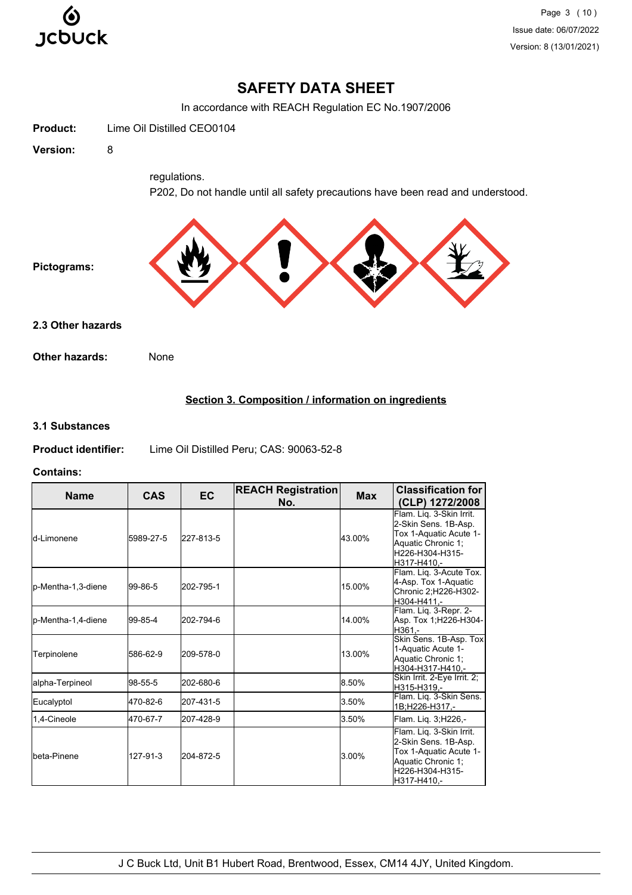

# **SAFETY DATA SHEET**

In accordance with REACH Regulation EC No.1907/2006



# **3.1 Substances**

**Product identifier:** Lime Oil Distilled Peru; CAS: 90063-52-8

#### **Contains:**

| <b>Name</b>        | <b>CAS</b> | <b>EC</b> | <b>REACH Registration</b><br>No. | <b>Max</b> | <b>Classification for</b><br>(CLP) 1272/2008                                                                                       |
|--------------------|------------|-----------|----------------------------------|------------|------------------------------------------------------------------------------------------------------------------------------------|
| ld-I imonene       | 5989-27-5  | 227-813-5 |                                  | 43.00%     | Flam. Lig. 3-Skin Irrit.<br>2-Skin Sens. 1B-Asp.<br>Tox 1-Aquatic Acute 1-<br>Aquatic Chronic 1;<br>H226-H304-H315-<br>H317-H410.- |
| p-Mentha-1,3-diene | 99-86-5    | 202-795-1 |                                  | 15.00%     | Flam. Liq. 3-Acute Tox.<br>4-Asp. Tox 1-Aquatic<br>Chronic 2:H226-H302-<br>H304-H411.-                                             |
| p-Mentha-1,4-diene | 99-85-4    | 202-794-6 |                                  | 14.00%     | Flam. Liq. 3-Repr. 2-<br>Asp. Tox 1;H226-H304-<br>H361.-                                                                           |
| Terpinolene        | 586-62-9   | 209-578-0 |                                  | 13.00%     | Skin Sens. 1B-Asp. Tox<br>1-Aquatic Acute 1-<br>Aquatic Chronic 1;<br>H304-H317-H410.-                                             |
| alpha-Terpineol    | 98-55-5    | 202-680-6 |                                  | 8.50%      | Skin Irrit. 2-Eye Irrit. 2;<br>H315-H319.-                                                                                         |
| Eucalyptol         | 470-82-6   | 207-431-5 |                                  | 3.50%      | Flam. Liq. 3-Skin Sens.<br>1B:H226-H317,-                                                                                          |
| 1.4-Cineole        | 470-67-7   | 207-428-9 |                                  | 3.50%      | Flam. Lig. 3; H226,-                                                                                                               |
| Ibeta-Pinene       | 127-91-3   | 204-872-5 |                                  | 3.00%      | Flam. Liq. 3-Skin Irrit.<br>2-Skin Sens. 1B-Asp.<br>Tox 1-Aquatic Acute 1-<br>Aquatic Chronic 1;<br>H226-H304-H315-<br>H317-H410.- |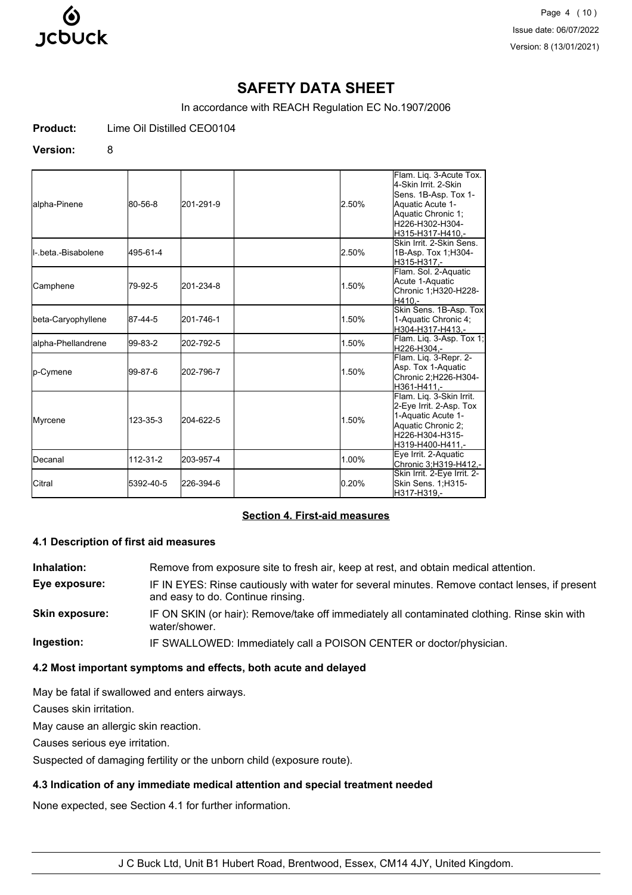

Page 4 (10) Issue date: 06/07/2022 Version: 8 (13/01/2021)

# **SAFETY DATA SHEET**

In accordance with REACH Regulation EC No.1907/2006

**Product:** Lime Oil Distilled CEO0104

#### **Version:** 8

| alpha-Pinene                 | 80-56-8   | 201-291-9 | 2.50% | Flam. Lig. 3-Acute Tox.<br>4-Skin Irrit, 2-Skin<br>Sens. 1B-Asp. Tox 1-<br>Aquatic Acute 1-<br>Aquatic Chronic 1;<br>H226-H302-H304-<br>H315-H317-H410.- |
|------------------------------|-----------|-----------|-------|----------------------------------------------------------------------------------------------------------------------------------------------------------|
| <b>I</b> I- beta -Bisabolene | 495-61-4  |           | 2.50% | Skin Irrit, 2-Skin Sens.<br>1B-Asp. Tox 1; H304-<br>H315-H317,-                                                                                          |
| Camphene                     | 79-92-5   | 201-234-8 | 1.50% | Flam. Sol. 2-Aquatic<br>Acute 1-Aquatic<br>Chronic 1;H320-H228-<br>H410,-                                                                                |
| beta-Caryophyllene           | 87-44-5   | 201-746-1 | 1.50% | Skin Sens. 1B-Asp. Tox<br>1-Aquatic Chronic 4:<br>H304-H317-H413,-                                                                                       |
| alpha-Phellandrene           | 99-83-2   | 202-792-5 | 1.50% | Flam. Lig. 3-Asp. Tox 1;<br>H226-H304.-                                                                                                                  |
| p-Cymene                     | 99-87-6   | 202-796-7 | 1.50% | Flam. Liq. 3-Repr. 2-<br>Asp. Tox 1-Aquatic<br>Chronic 2;H226-H304-<br>H361-H411.-                                                                       |
| Myrcene                      | 123-35-3  | 204-622-5 | 1.50% | Flam. Lig. 3-Skin Irrit.<br>2-Eye Irrit. 2-Asp. Tox<br>1-Aquatic Acute 1-<br>Aquatic Chronic 2;<br>H226-H304-H315-<br>H319-H400-H411.-                   |
| <b>IDecanal</b>              | 112-31-2  | 203-957-4 | 1.00% | Eye Irrit. 2-Aquatic<br>Chronic 3;H319-H412,-                                                                                                            |
| Citral                       | 5392-40-5 | 226-394-6 | 0.20% | Skin Irrit. 2-Eye Irrit. 2-<br>Skin Sens. 1, H315-<br>H317-H319.-                                                                                        |

## **Section 4. First-aid measures**

#### **4.1 Description of first aid measures**

**Inhalation:** Remove from exposure site to fresh air, keep at rest, and obtain medical attention. **Eye exposure:** IF IN EYES: Rinse cautiously with water for several minutes. Remove contact lenses, if present and easy to do. Continue rinsing. **Skin exposure:** IF ON SKIN (or hair): Remove/take off immediately all contaminated clothing. Rinse skin with water/shower. **Ingestion:** IF SWALLOWED: Immediately call a POISON CENTER or doctor/physician.

## **4.2 Most important symptoms and effects, both acute and delayed**

May be fatal if swallowed and enters airways.

Causes skin irritation.

May cause an allergic skin reaction.

Causes serious eye irritation.

Suspected of damaging fertility or the unborn child (exposure route).

#### **4.3 Indication of any immediate medical attention and special treatment needed**

None expected, see Section 4.1 for further information.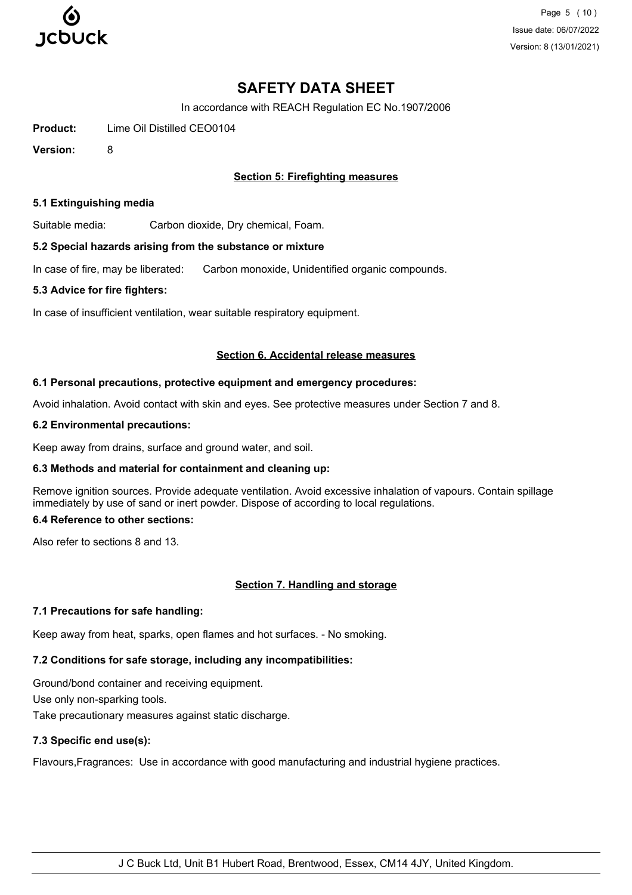

Page 5 (10) Issue date: 06/07/2022 Version: 8 (13/01/2021)

# **SAFETY DATA SHEET**

In accordance with REACH Regulation EC No.1907/2006

**Product:** Lime Oil Distilled CEO0104

**Version:** 8

## **Section 5: Firefighting measures**

#### **5.1 Extinguishing media**

Suitable media: Carbon dioxide, Dry chemical, Foam.

#### **5.2 Special hazards arising from the substance or mixture**

In case of fire, may be liberated: Carbon monoxide, Unidentified organic compounds.

#### **5.3 Advice for fire fighters:**

In case of insufficient ventilation, wear suitable respiratory equipment.

#### **Section 6. Accidental release measures**

#### **6.1 Personal precautions, protective equipment and emergency procedures:**

Avoid inhalation. Avoid contact with skin and eyes. See protective measures under Section 7 and 8.

#### **6.2 Environmental precautions:**

Keep away from drains, surface and ground water, and soil.

## **6.3 Methods and material for containment and cleaning up:**

Remove ignition sources. Provide adequate ventilation. Avoid excessive inhalation of vapours. Contain spillage immediately by use of sand or inert powder. Dispose of according to local regulations.

# **6.4 Reference to other sections:**

Also refer to sections 8 and 13.

## **Section 7. Handling and storage**

## **7.1 Precautions for safe handling:**

Keep away from heat, sparks, open flames and hot surfaces. - No smoking.

# **7.2 Conditions for safe storage, including any incompatibilities:**

Ground/bond container and receiving equipment. Use only non-sparking tools. Take precautionary measures against static discharge.

# **7.3 Specific end use(s):**

Flavours,Fragrances: Use in accordance with good manufacturing and industrial hygiene practices.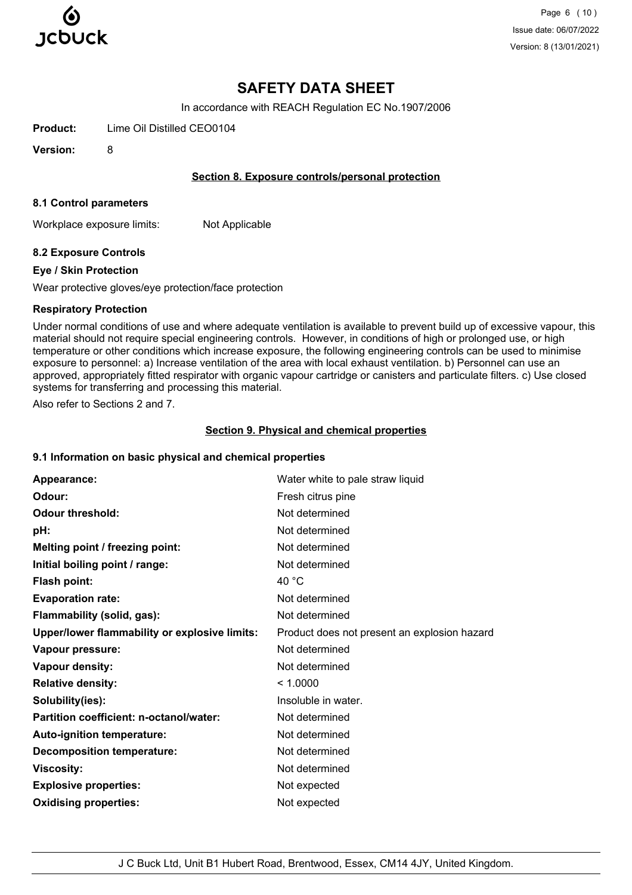

Page 6 (10) Issue date: 06/07/2022 Version: 8 (13/01/2021)

# **SAFETY DATA SHEET**

In accordance with REACH Regulation EC No.1907/2006

**Product:** Lime Oil Distilled CEO0104

**Version:** 8

## **Section 8. Exposure controls/personal protection**

#### **8.1 Control parameters**

Workplace exposure limits: Not Applicable

## **8.2 Exposure Controls**

#### **Eye / Skin Protection**

Wear protective gloves/eye protection/face protection

#### **Respiratory Protection**

Under normal conditions of use and where adequate ventilation is available to prevent build up of excessive vapour, this material should not require special engineering controls. However, in conditions of high or prolonged use, or high temperature or other conditions which increase exposure, the following engineering controls can be used to minimise exposure to personnel: a) Increase ventilation of the area with local exhaust ventilation. b) Personnel can use an approved, appropriately fitted respirator with organic vapour cartridge or canisters and particulate filters. c) Use closed systems for transferring and processing this material.

Also refer to Sections 2 and 7.

#### **Section 9. Physical and chemical properties**

## **9.1 Information on basic physical and chemical properties**

| Appearance:                                   | Water white to pale straw liquid             |
|-----------------------------------------------|----------------------------------------------|
| Odour:                                        | Fresh citrus pine                            |
| <b>Odour threshold:</b>                       | Not determined                               |
| pH:                                           | Not determined                               |
| Melting point / freezing point:               | Not determined                               |
| Initial boiling point / range:                | Not determined                               |
| <b>Flash point:</b>                           | 40 $^{\circ}$ C                              |
| <b>Evaporation rate:</b>                      | Not determined                               |
| Flammability (solid, gas):                    | Not determined                               |
| Upper/lower flammability or explosive limits: | Product does not present an explosion hazard |
| Vapour pressure:                              | Not determined                               |
| Vapour density:                               | Not determined                               |
| <b>Relative density:</b>                      | < 1.0000                                     |
| Solubility(ies):                              | Insoluble in water.                          |
| Partition coefficient: n-octanol/water:       | Not determined                               |
| Auto-ignition temperature:                    | Not determined                               |
| <b>Decomposition temperature:</b>             | Not determined                               |
| <b>Viscosity:</b>                             | Not determined                               |
| <b>Explosive properties:</b>                  | Not expected                                 |
| <b>Oxidising properties:</b>                  | Not expected                                 |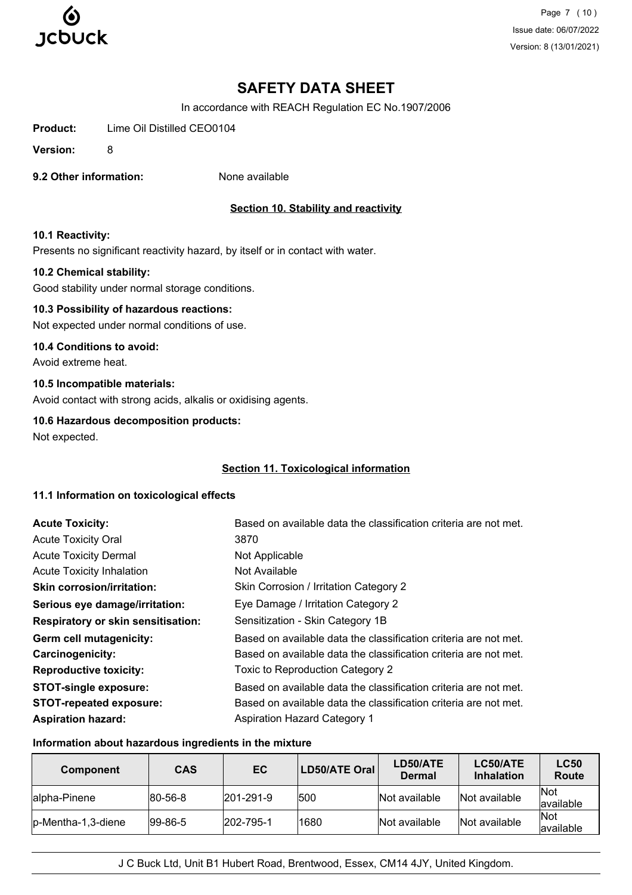

Page 7 (10) Issue date: 06/07/2022 Version: 8 (13/01/2021)

# **SAFETY DATA SHEET**

In accordance with REACH Regulation EC No.1907/2006

**Product:** Lime Oil Distilled CEO0104

**Version:** 8

**9.2 Other information:** None available

# **Section 10. Stability and reactivity**

#### **10.1 Reactivity:**

Presents no significant reactivity hazard, by itself or in contact with water.

#### **10.2 Chemical stability:**

Good stability under normal storage conditions.

# **10.3 Possibility of hazardous reactions:**

Not expected under normal conditions of use.

#### **10.4 Conditions to avoid:**

Avoid extreme heat.

## **10.5 Incompatible materials:**

Avoid contact with strong acids, alkalis or oxidising agents.

#### **10.6 Hazardous decomposition products:**

Not expected.

## **Section 11. Toxicological information**

#### **11.1 Information on toxicological effects**

| <b>Acute Toxicity:</b>                    | Based on available data the classification criteria are not met. |
|-------------------------------------------|------------------------------------------------------------------|
| <b>Acute Toxicity Oral</b>                | 3870                                                             |
| <b>Acute Toxicity Dermal</b>              | Not Applicable                                                   |
| <b>Acute Toxicity Inhalation</b>          | Not Available                                                    |
| <b>Skin corrosion/irritation:</b>         | Skin Corrosion / Irritation Category 2                           |
| Serious eye damage/irritation:            | Eye Damage / Irritation Category 2                               |
| <b>Respiratory or skin sensitisation:</b> | Sensitization - Skin Category 1B                                 |
| Germ cell mutagenicity:                   | Based on available data the classification criteria are not met. |
| <b>Carcinogenicity:</b>                   | Based on available data the classification criteria are not met. |
| <b>Reproductive toxicity:</b>             | Toxic to Reproduction Category 2                                 |
| <b>STOT-single exposure:</b>              | Based on available data the classification criteria are not met. |
| <b>STOT-repeated exposure:</b>            | Based on available data the classification criteria are not met. |
| <b>Aspiration hazard:</b>                 | <b>Aspiration Hazard Category 1</b>                              |

#### **Information about hazardous ingredients in the mixture**

| <b>Component</b>    | <b>CAS</b>      | EC                | LD50/ATE Oral | LD50/ATE<br><b>Dermal</b> | LC50/ATE<br><b>Inhalation</b> | <b>LC50</b><br>Route     |
|---------------------|-----------------|-------------------|---------------|---------------------------|-------------------------------|--------------------------|
| Jalpha-Pinene       | $ 80 - 56 - 8 $ | $ 201 - 291 - 9 $ | 1500          | Not available             | Not available                 | <b>Not</b><br>lavailable |
| lp-Mentha-1,3-diene | $ 99-86-5 $     | $ 202 - 795 - 1 $ | 1680          | Not available             | Not available                 | <b>Not</b><br>lavailable |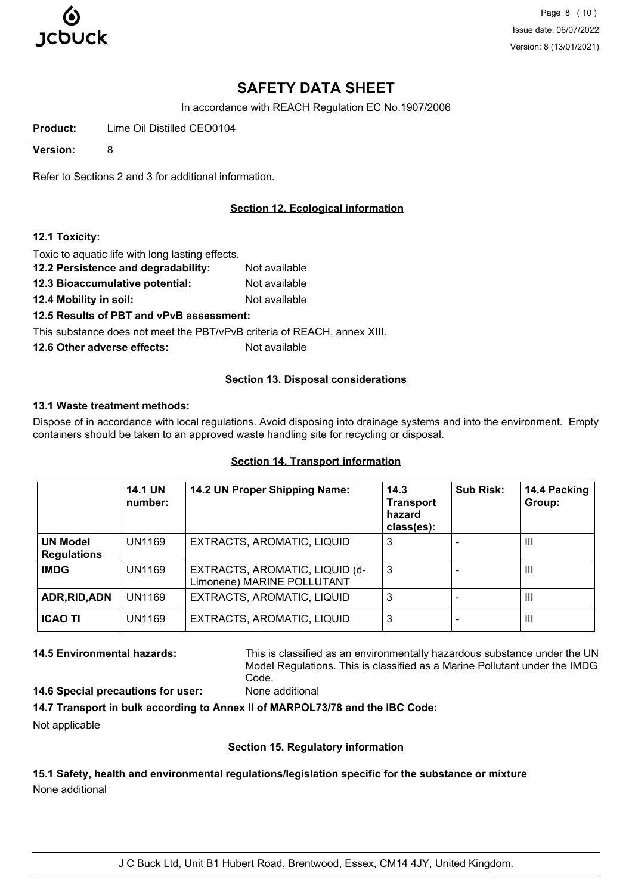

Page 8 (10) Issue date: 06/07/2022 Version: 8 (13/01/2021)

# **SAFETY DATA SHEET**

In accordance with REACH Regulation EC No.1907/2006

**Product:** Lime Oil Distilled CEO0104

**Version:** 8

Refer to Sections 2 and 3 for additional information.

# **Section 12. Ecological information**

#### **12.1 Toxicity:**

Toxic to aquatic life with long lasting effects.

- **12.2 Persistence and degradability:** Not available
- **12.3 Bioaccumulative potential:** Not available
- **12.4 Mobility in soil:** Not available

**12.5 Results of PBT and vPvB assessment:**

This substance does not meet the PBT/vPvB criteria of REACH, annex XIII.

**12.6 Other adverse effects:** Not available

#### **Section 13. Disposal considerations**

#### **13.1 Waste treatment methods:**

Dispose of in accordance with local regulations. Avoid disposing into drainage systems and into the environment. Empty containers should be taken to an approved waste handling site for recycling or disposal.

|                                       | <b>14.1 UN</b><br>number: | 14.2 UN Proper Shipping Name:                                | 14.3<br><b>Transport</b><br>hazard<br>class(es): | <b>Sub Risk:</b> | 14.4 Packing<br>Group: |
|---------------------------------------|---------------------------|--------------------------------------------------------------|--------------------------------------------------|------------------|------------------------|
| <b>UN Model</b><br><b>Regulations</b> | UN1169                    | EXTRACTS, AROMATIC, LIQUID                                   | 3                                                |                  | $\mathbf{III}$         |
| <b>IMDG</b>                           | UN1169                    | EXTRACTS, AROMATIC, LIQUID (d-<br>Limonene) MARINE POLLUTANT | 3                                                |                  | $\mathbf{III}$         |
| ADR, RID, ADN                         | UN1169                    | EXTRACTS, AROMATIC, LIQUID                                   | 3                                                |                  | Ш                      |
| <b>ICAO TI</b>                        | UN1169                    | EXTRACTS, AROMATIC, LIQUID                                   | 3                                                |                  | $\mathbf{III}$         |

## **Section 14. Transport information**

**14.5 Environmental hazards:** This is classified as an environmentally hazardous substance under the UN Model Regulations. This is classified as a Marine Pollutant under the IMDG Code.

**14.6 Special precautions for user:** None additional

**14.7 Transport in bulk according to Annex II of MARPOL73/78 and the IBC Code:** Not applicable

# **Section 15. Regulatory information**

**15.1 Safety, health and environmental regulations/legislation specific for the substance or mixture** None additional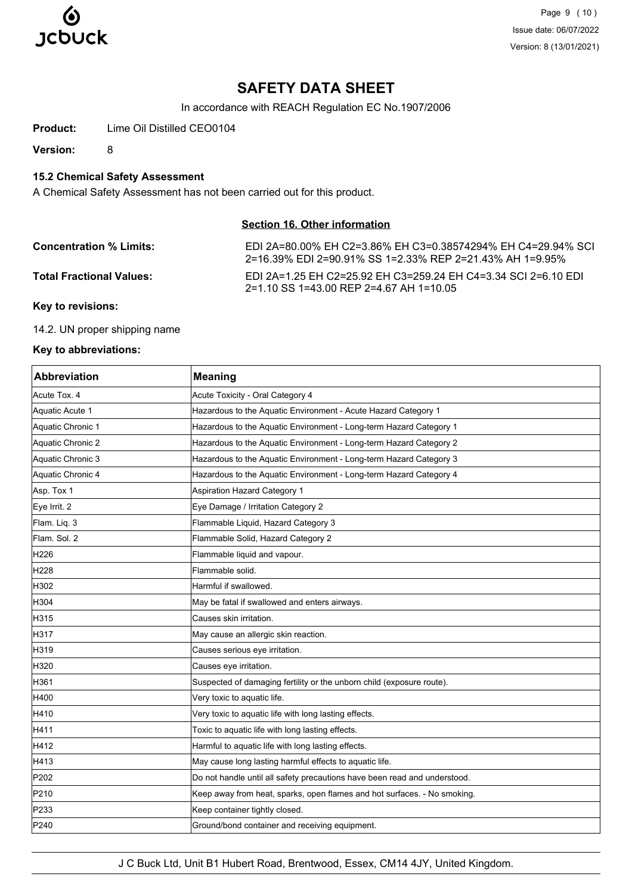

Page 9 (10) Issue date: 06/07/2022 Version: 8 (13/01/2021)

# **SAFETY DATA SHEET**

In accordance with REACH Regulation EC No.1907/2006

**Product:** Lime Oil Distilled CEO0104

**Version:** 8

# **15.2 Chemical Safety Assessment**

A Chemical Safety Assessment has not been carried out for this product.

# **Section 16. Other information**

| <b>Concentration % Limits:</b>  | EDI 2A=80.00% EH C2=3.86% EH C3=0.38574294% EH C4=29.94% SCL<br>2=16.39% EDI 2=90.91% SS 1=2.33% REP 2=21.43% AH 1=9.95% |
|---------------------------------|--------------------------------------------------------------------------------------------------------------------------|
| <b>Total Fractional Values:</b> | EDI 2A=1.25 EH C2=25.92 EH C3=259.24 EH C4=3.34 SCI 2=6.10 EDI<br>2=1.10 SS 1=43.00 REP 2=4.67 AH 1=10.05                |

#### **Key to revisions:**

14.2. UN proper shipping name

#### **Key to abbreviations:**

| <b>Abbreviation</b> | <b>Meaning</b>                                                            |
|---------------------|---------------------------------------------------------------------------|
| Acute Tox, 4        | Acute Toxicity - Oral Category 4                                          |
| Aquatic Acute 1     | Hazardous to the Aquatic Environment - Acute Hazard Category 1            |
| Aquatic Chronic 1   | Hazardous to the Aquatic Environment - Long-term Hazard Category 1        |
| Aquatic Chronic 2   | Hazardous to the Aquatic Environment - Long-term Hazard Category 2        |
| Aquatic Chronic 3   | Hazardous to the Aquatic Environment - Long-term Hazard Category 3        |
| Aquatic Chronic 4   | Hazardous to the Aquatic Environment - Long-term Hazard Category 4        |
| Asp. Tox 1          | <b>Aspiration Hazard Category 1</b>                                       |
| Eye Irrit. 2        | Eye Damage / Irritation Category 2                                        |
| Flam. Lig. 3        | Flammable Liquid, Hazard Category 3                                       |
| Flam. Sol. 2        | Flammable Solid, Hazard Category 2                                        |
| H226                | Flammable liquid and vapour.                                              |
| H <sub>228</sub>    | Flammable solid.                                                          |
| H302                | Harmful if swallowed.                                                     |
| H304                | May be fatal if swallowed and enters airways.                             |
| H315                | Causes skin irritation.                                                   |
| H317                | May cause an allergic skin reaction.                                      |
| H319                | Causes serious eye irritation.                                            |
| H320                | Causes eye irritation.                                                    |
| H361                | Suspected of damaging fertility or the unborn child (exposure route).     |
| H400                | Very toxic to aquatic life.                                               |
| H410                | Very toxic to aquatic life with long lasting effects.                     |
| H411                | Toxic to aquatic life with long lasting effects.                          |
| H412                | Harmful to aquatic life with long lasting effects.                        |
| H413                | May cause long lasting harmful effects to aquatic life.                   |
| P202                | Do not handle until all safety precautions have been read and understood. |
| P210                | Keep away from heat, sparks, open flames and hot surfaces. - No smoking.  |
| P233                | Keep container tightly closed.                                            |
| P240                | Ground/bond container and receiving equipment.                            |